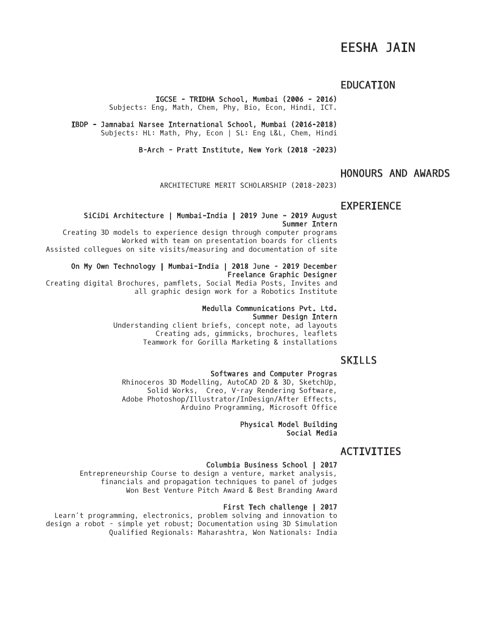# EESHA JAIN

### EDUCATION

IGCSE - TRIDHA School, Mumbai (2006 - 2016)

Subjects: Eng, Math, Chem, Phy, Bio, Econ, Hindi, ICT.

IBDP - Jamnabai Narsee International School, Mumbai (2016-2018) Subjects: HL: Math, Phy, Econ | SL: Eng L&L, Chem, Hindi

B-Arch - Pratt Institute, New York (2018 -2023)

# HONOURS AND AWARDS

ARCHITECTURE MERIT SCHOLARSHIP (2018-2023)

### EXPERIENCE

#### SiCiDi Architecture | Mumbai-India | 2019 June - 2019 August Summer Intern

Creating 3D models to experience design through computer programs Worked with team on presentation boards for clients Assisted collegues on site visits/measuring and documentation of site

On My Own Technology | Mumbai-India | 2018 June - 2019 December Freelance Graphic Designer Creating digital Brochures, pamflets, Social Media Posts, Invites and

all graphic design work for a Robotics Institute

### Medulla Communications Pvt. Ltd.

### Summer Design Intern

Understanding client briefs, concept note, ad layouts Creating ads, gimmicks, brochures, leaflets Teamwork for Gorilla Marketing & installations

# SKILLS

#### Softwares and Computer Progras

Rhinoceros 3D Modelling, AutoCAD 2D & 3D, SketchUp, Solid Works, Creo, V-ray Rendering Software, Adobe Photoshop/Illustrator/InDesign/After Effects, Arduino Programming, Microsoft Office

> Physical Model Building Social Media

# ACTIVITIES

#### Columbia Business School | 2017

Entrepreneurship Course to design a venture, market analysis, financials and propagation techniques to panel of judges Won Best Venture Pitch Award & Best Branding Award

#### First Tech challenge | 2017

Learn't programming, electronics, problem solving and innovation to design a robot - simple yet robust; Documentation using 3D Simulation Qualified Regionals: Maharashtra, Won Nationals: India